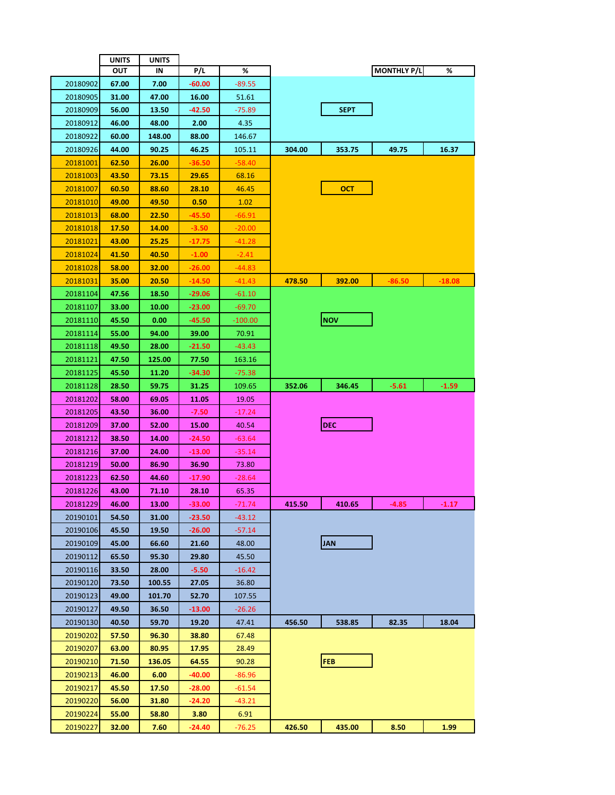|                 | <b>UNITS</b> | UNITS        |          |           |        |             |                    |          |
|-----------------|--------------|--------------|----------|-----------|--------|-------------|--------------------|----------|
|                 | ουτ          | ΙN           | P/L      | %         |        |             | <b>MONTHLY P/L</b> | %        |
| 20180902        | 67.00        | 7.00         | $-60.00$ | $-89.55$  |        |             |                    |          |
| 20180905        | 31.00        | 47.00        | 16.00    | 51.61     |        |             |                    |          |
| 20180909        | 56.00        | 13.50        | -42.50   | $-75.89$  |        | <b>SEPT</b> |                    |          |
| 20180912        | 46.00        | 48.00        | 2.00     | 4.35      |        |             |                    |          |
| 20180922        | 60.00        | 148.00       | 88.00    | 146.67    |        |             |                    |          |
| 20180926        | 44.00        | 90.25        | 46.25    | 105.11    | 304.00 | 353.75      | 49.75              | 16.37    |
| 20181001        | 62.50        | 26.00        | -36.50   | $-58.40$  |        |             |                    |          |
| <u>20181003</u> | 43.50        | 73.15        | 29.65    | 68.16     |        |             |                    |          |
| 20181007        | 60.50        | 88.60        | 28.10    | 46.45     |        | ост         |                    |          |
| 20181010        | 49.00        | 49.50        | 0.50     | 1.02      |        |             |                    |          |
| 20181013        | 68.00        | 22.50        | -45.50   | -66.91    |        |             |                    |          |
| <u>20181018</u> | 17.50        | <u>14.00</u> | $-3.50$  | -20.00    |        |             |                    |          |
| <u>20181021</u> | 43.00        | 25.25        | -17.75   | $-41.28$  |        |             |                    |          |
| 20181024        | 41.50        | 40.50        | $-1.00$  | $-2.41$   |        |             |                    |          |
| 20181028        | 58.00        | 32.00        | -26.00   | -44.83    |        |             |                    |          |
| <u>20181031</u> | 35.00        | 20.50        | -14.50   | -41.43    | 478.50 | 392.00      | -86.50             | $-18.08$ |
| 20181104        | 47.56        | 18.50        | -29.06   | -61.10    |        |             |                    |          |
| 20181107        | 33.00        | 10.00        | $-23.00$ | -69.70    |        |             |                    |          |
| 20181110        | 45.50        | 0.00         | -45.50   | $-100.00$ |        | <b>NOV</b>  |                    |          |
| 20181114        | 55.00        | 94.00        | 39.00    | 70.91     |        |             |                    |          |
| 20181118        | 49.50        | 28.00        | $-21.50$ | -43.43    |        |             |                    |          |
| 20181121        | 47.50        | 125.00       | 77.50    | 163.16    |        |             |                    |          |
| 20181125        | 45.50        | 11.20        | -34.30   | -75.38    |        |             |                    |          |
| 20181128        | 28.50        | 59.75        | 31.25    | 109.65    | 352.06 | 346.45      | $-5.61$            | $-1.59$  |
| 20181202        | 58.00        | 69.05        | 11.05    | 19.05     |        |             |                    |          |
| 20181205        | 43.50        | 36.00        | -7.50    | -17.24    |        |             |                    |          |
| 20181209        | 37.00        | 52.00        | 15.00    | 40.54     |        | DEC         |                    |          |
| 20181212        | 38.50        | 14.00        | -24.50   | -63.64    |        |             |                    |          |
| 20181216        | 37.00        | 24.00        | -13.00   | $-35.14$  |        |             |                    |          |
| 20181219        | 50.00        | 86.90        | 36.90    | 73.80     |        |             |                    |          |
| 20181223        | 62.50        | 44.60        | $-17.90$ | -28.64    |        |             |                    |          |
| 20181226        | 43.00        | 71.10        | 28.10    | 65.35     |        |             |                    |          |
| 20181229        | 46.00        | 13.00        | $-33.00$ | $-71.74$  | 415.50 | 410.65      | $-4.85$            | $-1.17$  |
| 20190101        | 54.50        | 31.00        | $-23.50$ | -43.12    |        |             |                    |          |
| 20190106        | 45.50        | 19.50        | $-26.00$ | $-57.14$  |        |             |                    |          |
| 20190109        | 45.00        | 66.60        | 21.60    | 48.00     |        | <b>JAN</b>  |                    |          |
| 20190112        | 65.50        | 95.30        | 29.80    | 45.50     |        |             |                    |          |
| 20190116        | 33.50        | 28.00        | $-5.50$  | -16.42    |        |             |                    |          |
| 20190120        | 73.50        | 100.55       | 27.05    | 36.80     |        |             |                    |          |
| 20190123        | 49.00        | 101.70       | 52.70    | 107.55    |        |             |                    |          |
| 20190127        | 49.50        | 36.50        | $-13.00$ | $-26.26$  |        |             |                    |          |
| 20190130        | 40.50        | 59.70        | 19.20    | 47.41     | 456.50 | 538.85      | 82.35              | 18.04    |
| 20190202        | 57.50        | 96.30        | 38.80    | 67.48     |        |             |                    |          |
| 20190207        | 63.00        | 80.95        | 17.95    | 28.49     |        |             |                    |          |
| 20190210        | 71.50        | 136.05       | 64.55    | 90.28     |        | <b>FEB</b>  |                    |          |
| 20190213        | 46.00        | 6.00         | -40.00   | $-86.96$  |        |             |                    |          |
| 20190217        | 45.50        | 17.50        | $-28.00$ | $-61.54$  |        |             |                    |          |
| 20190220        | 56.00        | 31.80        | -24.20   | -43.21    |        |             |                    |          |
| 20190224        | 55.00        | 58.80        | 3.80     | 6.91      |        |             |                    |          |
| 20190227        | 32.00        | 7.60         | -24.40   | -76.25    | 426.50 | 435.00      | 8.50               | 1.99     |